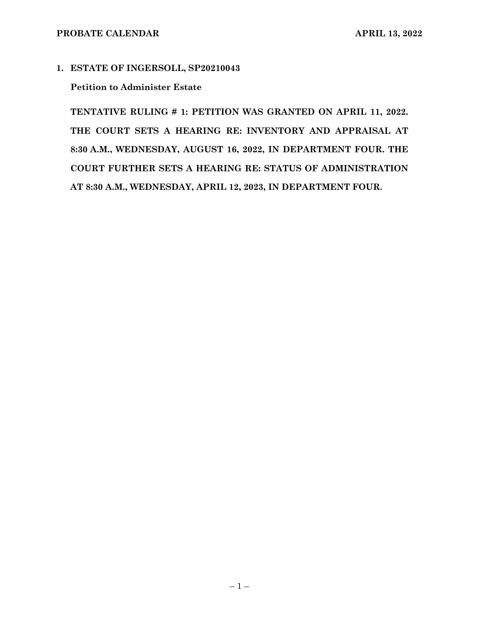### **1. ESTATE OF INGERSOLL, SP20210043**

### **Petition to Administer Estate**

**TENTATIVE RULING # 1: PETITION WAS GRANTED ON APRIL 11, 2022. THE COURT SETS A HEARING RE: INVENTORY AND APPRAISAL AT 8:30 A.M., WEDNESDAY, AUGUST 16, 2022, IN DEPARTMENT FOUR. THE COURT FURTHER SETS A HEARING RE: STATUS OF ADMINISTRATION AT 8:30 A.M., WEDNESDAY, APRIL 12, 2023, IN DEPARTMENT FOUR.**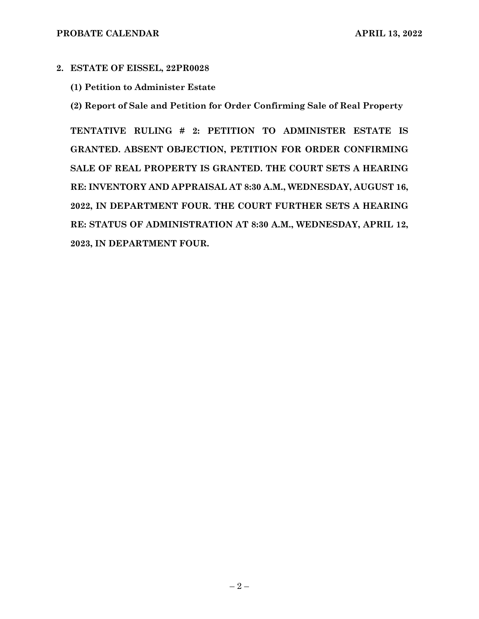# **2. ESTATE OF EISSEL, 22PR0028**

**(1) Petition to Administer Estate**

**(2) Report of Sale and Petition for Order Confirming Sale of Real Property**

**TENTATIVE RULING # 2: PETITION TO ADMINISTER ESTATE IS GRANTED. ABSENT OBJECTION, PETITION FOR ORDER CONFIRMING SALE OF REAL PROPERTY IS GRANTED. THE COURT SETS A HEARING RE: INVENTORY AND APPRAISAL AT 8:30 A.M., WEDNESDAY, AUGUST 16, 2022, IN DEPARTMENT FOUR. THE COURT FURTHER SETS A HEARING RE: STATUS OF ADMINISTRATION AT 8:30 A.M., WEDNESDAY, APRIL 12, 2023, IN DEPARTMENT FOUR.**